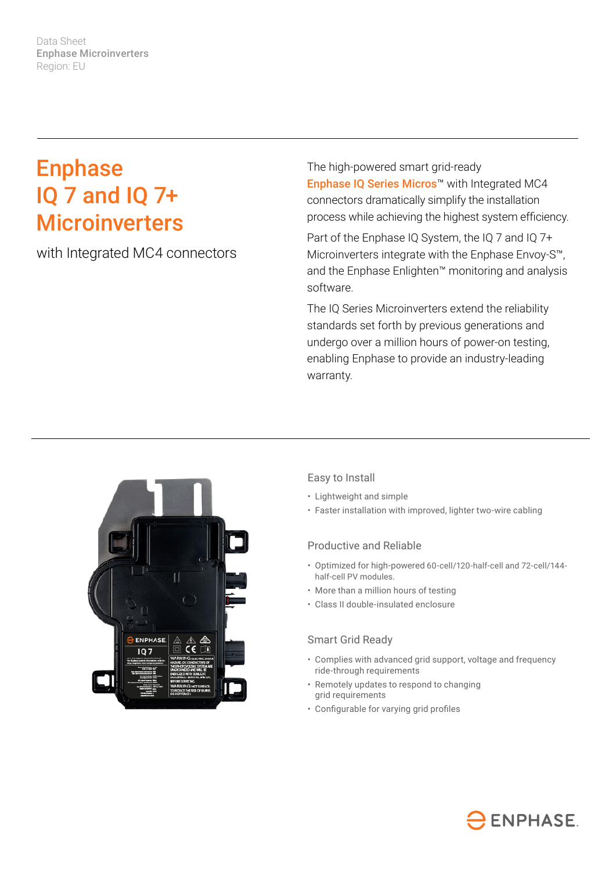Data Sheet Enphase Microinverters Region: EU

# Enphase IQ 7 and IQ 7+ **Microinverters**

with Integrated MC4 connectors

The high-powered smart grid-ready Enphase IQ Series Micros™ with Integrated MC4 connectors dramatically simplify the installation process while achieving the highest system efficiency.

Part of the Enphase IQ System, the IQ 7 and IQ 7+ Microinverters integrate with the Enphase Envoy-S™, and the Enphase Enlighten™ monitoring and analysis software.

The IQ Series Microinverters extend the reliability standards set forth by previous generations and undergo over a million hours of power-on testing, enabling Enphase to provide an industry-leading warranty.



### Easy to Install

- Lightweight and simple
- Faster installation with improved, lighter two-wire cabling

### Productive and Reliable

- Optimized for high-powered 60-cell/120-half-cell and 72-cell/144 half-cell PV modules.
- More than a million hours of testing
- Class II double-insulated enclosure

#### Smart Grid Ready

- Complies with advanced grid support, voltage and frequency ride-through requirements
- Remotely updates to respond to changing grid requirements
- Configurable for varying grid profiles